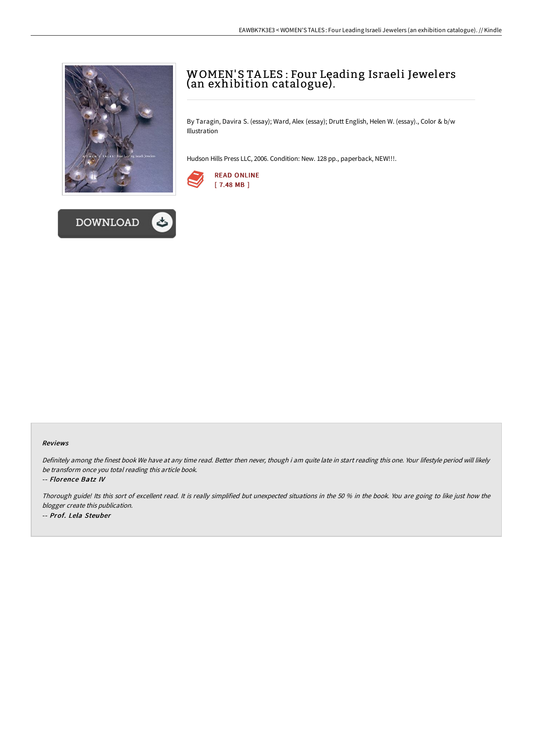



# WOMEN'S TA LES : Four Leading Israeli Jewelers (an exhibition catalogue).

By Taragin, Davira S. (essay); Ward, Alex (essay); Drutt English, Helen W. (essay)., Color & b/w Illustration

Hudson Hills Press LLC, 2006. Condition: New. 128 pp., paperback, NEW!!!.



### Reviews

Definitely among the finest book We have at any time read. Better then never, though i am quite late in start reading this one. Your lifestyle period will likely be transform once you total reading this article book.

#### -- Florence Batz IV

Thorough guide! Its this sort of excellent read. It is really simplified but unexpected situations in the <sup>50</sup> % in the book. You are going to like just how the blogger create this publication. -- Prof. Lela Steuber